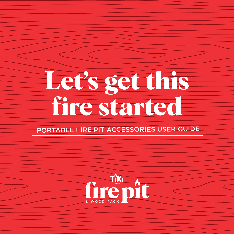# **Let's get this fire started**

### PORTABLE FIRE PIT ACCESSORIES USER GUIDE

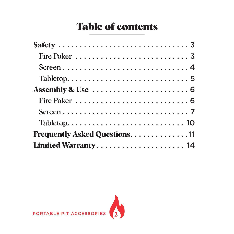### Table of contents

| Frequently Asked Questions. 11 |  |  |  |  |  |  |  |  |  |
|--------------------------------|--|--|--|--|--|--|--|--|--|
| Limited Warranty 14            |  |  |  |  |  |  |  |  |  |

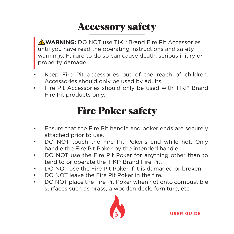# Accessory safety

 **WARNING:** DO NOT use TIKI® Brand Fire Pit Accessories until you have read the operating instructions and safety warnings. Failure to do so can cause death, serious injury or property damage.

- Keep Fire Pit accessories out of the reach of children. Accessories should only be used by adults.
- Fire Pit Accessories should only be used with TIKI® Brand Fire Pit products only.

### Fire Poker safety

- Ensure that the Fire Pit handle and poker ends are securely attached prior to use.
- DO NOT touch the Fire Pit Poker's end while hot. Only handle the Fire Pit Poker by the intended handle.
- DO NOT use the Fire Pit Poker for anything other than to tend to or operate the TIKI® Brand Fire Pit.
- DO NOT use the Fire Pit Poker if it is damaged or broken.
- DO NOT leave the Fire Pit Poker in the fire.
- DO NOT place the Fire Pit Poker when hot onto combustible surfaces such as grass, a wooden deck, furniture, etc.

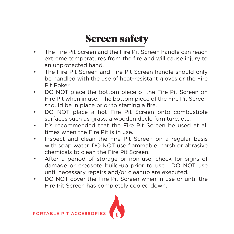# Screen safety

- The Fire Pit Screen and the Fire Pit Screen handle can reach extreme temperatures from the fire and will cause injury to an unprotected hand.
- The Fire Pit Screen and Fire Pit Screen handle should only be handled with the use of heat-resistant gloves or the Fire Pit Poker.
- DO NOT place the bottom piece of the Fire Pit Screen on Fire Pit when in use. The bottom piece of the Fire Pit Screen should be in place prior to starting a fire.
- DO NOT place a hot Fire Pit Screen onto combustible surfaces such as grass, a wooden deck, furniture, etc.
- It's recommended that the Fire Pit Screen be used at all times when the Fire Pit is in use.
- Inspect and clean the Fire Pit Screen on a regular basis with soap water. DO NOT use flammable, harsh or abrasive chemicals to clean the Fire Pit Screen.
- After a period of storage or non-use, check for signs of damage or creosote build-up prior to use. DO NOT use until necessary repairs and/or cleanup are executed.
- DO NOT cover the Fire Pit Screen when in use or until the Fire Pit Screen has completely cooled down.

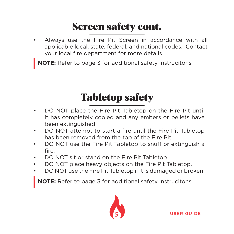# Screen safety cont.

• Always use the Fire Pit Screen in accordance with all applicable local, state, federal, and national codes. Contact your local fire department for more details.

**NOTE:** Refer to page 3 for additional safety instrucitons

# Tabletop safety

- DO NOT place the Fire Pit Tabletop on the Fire Pit until it has completely cooled and any embers or pellets have been extinguished.
- DO NOT attempt to start a fire until the Fire Pit Tabletop has been removed from the top of the Fire Pit.
- DO NOT use the Fire Pit Tabletop to snuff or extinguish a fire.
- DO NOT sit or stand on the Fire Pit Tabletop.
- DO NOT place heavy objects on the Fire Pit Tabletop.
- DO NOT use the Fire Pit Tabletop if it is damaged or broken.

**NOTE:** Refer to page 3 for additional safety instrucitons

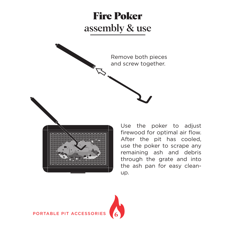### Fire Poker assembly & use



Use the poker to adjust firewood for optimal air flow. After the pit has cooled, use the poker to scrape any remaining ash and debris through the grate and into the ash pan for easy cleanup.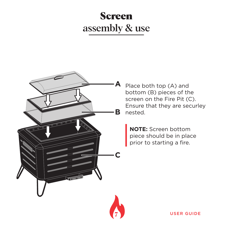### Screen assembly & use



Place both top (A) and bottom (B) pieces of the screen on the Fire Pit (C). Ensure that they are securley nested.

**NOTE:** Screen bottom piece should be in place prior to starting a fire.

**7** USER GUIDE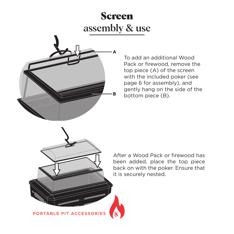### Screen assembly & use



To add an additional Wood Pack or firewood, remove the top piece (A) of the screen with the included poker (see page 6 for assembly), and gently hang on the side of the bottom piece (B).



After a Wood Pack or firewood has been added, place the top piece back on with the poker. Ensure that it is securely nested.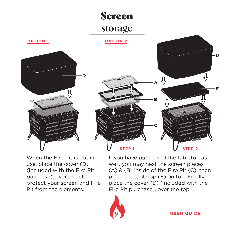### Screen

### storage

**STEP 1 OPTION 1 OPTION 2 D C A B**

When the Fire Pit is not in use, place the cover (D) (included with the Fire Pit purchase), over to help protect your screen and Fire Pit from the elements.

If you have purchased the tabletop as well, you may nest the screen pieces (A) & (B) inside of the Fire Pit (C), then place the tabletop (E) on top. Finally, place the cover (D) (included with the Fire Pit purchase), over the top.

⇩



**9** USER GUIDE

**STEP 2**

**E**

**D**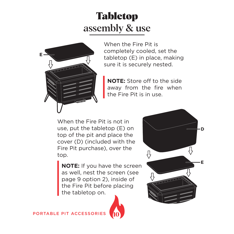### Tabletop assembly & use



When the Fire Pit is completely cooled, set the tabletop (E) in place, making sure it is securely nested.

**NOTE:** Store off to the side away from the fire when the Fire Pit is in use.

When the Fire Pit is not in use, put the tabletop (E) on top of the pit and place the cover (D) (included with the Fire Pit purchase), over the top.

**NOTE:** If you have the screen as well, nest the screen (see page 9 option 2), inside of the Fire Pit before placing the tabletop on.



**D** ſ, **E**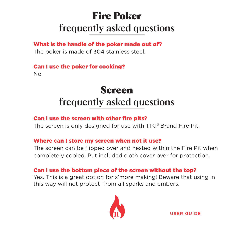# Fire Poker frequently asked questions

What is the handle of the poker made out of? The poker is made of 304 stainless steel.

#### Can I use the poker for cooking?

No.

### Screen frequently asked questions

#### Can I use the screen with other fire pits?

The screen is only designed for use with TIKI® Brand Fire Pit.

#### Where can I store my screen when not it use?

The screen can be flipped over and nested within the Fire Pit when completely cooled. Put included cloth cover over for protection.

#### Can I use the bottom piece of the screen without the top?

Yes. This is a great option for s'more making! Beware that using in this way will not protect from all sparks and embers.



USER GUIDE **11**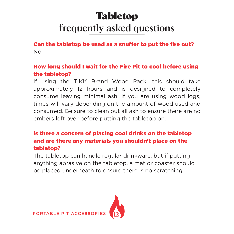# Tabletop frequently asked questions

Can the tabletop be used as a snuffer to put the fire out? No.

#### How long should I wait for the Fire Pit to cool before using the tabletop?

If using the TIKI® Brand Wood Pack, this should take approximately 12 hours and is designed to completely consume leaving minimal ash. If you are using wood logs, times will vary depending on the amount of wood used and consumed. Be sure to clean out all ash to ensure there are no embers left over before putting the tabletop on.

#### Is there a concern of placing cool drinks on the tabletop and are there any materials you shouldn't place on the tabletop?

The tabletop can handle regular drinkware, but if putting anything abrasive on the tabletop, a mat or coaster should be placed underneath to ensure there is no scratching.

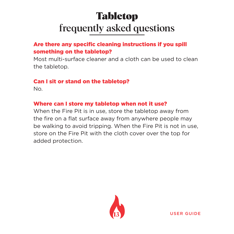# Tabletop frequently asked questions

#### Are there any specific cleaning instructions if you spill something on the tabletop?

Most multi-surface cleaner and a cloth can be used to clean the tabletop.

#### Can I sit or stand on the tabletop?

No.

#### Where can I store my tabletop when not it use?

When the Fire Pit is in use, store the tabletop away from the fire on a flat surface away from anywhere people may be walking to avoid tripping. When the Fire Pit is not in use, store on the Fire Pit with the cloth cover over the top for added protection.



USER GUIDE **13**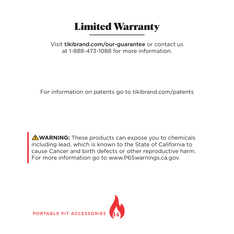### Limited Warranty

Visit tikibrand.com/our-guarantee or contact us at 1-888-473-1088 for more information.

For information on patents go to tikibrand.com/patents

**AWARNING:** These products can expose you to chemicals including lead, which is known to the State of California to cause Cancer and birth defects or other reproductive harm. For more information go to www.P65warnings.ca.gov.

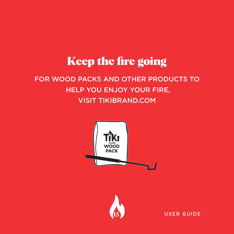# Keep the fire going

### FOR WOOD PACKS AND OTHER PRODUCTS TO HELP YOU ENJOY YOUR FIRE, VISIT TIKIBRAND.COM





USER GUIDE **15** USER GUIDE